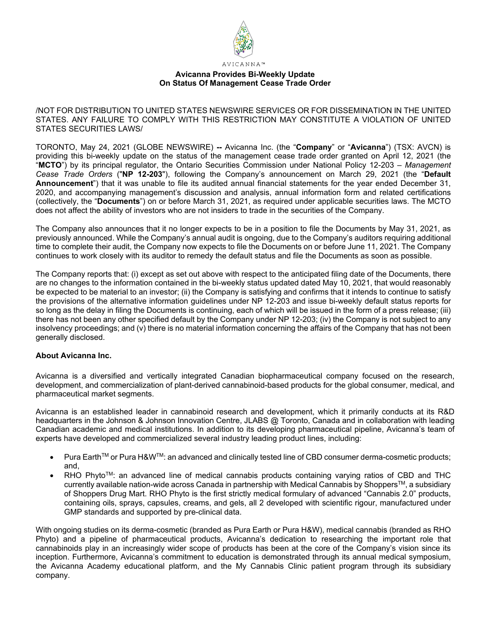

## **Avicanna Provides Bi-Weekly Update On Status Of Management Cease Trade Order**

/NOT FOR DISTRIBUTION TO UNITED STATES NEWSWIRE SERVICES OR FOR DISSEMINATION IN THE UNITED STATES. ANY FAILURE TO COMPLY WITH THIS RESTRICTION MAY CONSTITUTE A VIOLATION OF UNITED STATES SECURITIES LAWS/

TORONTO, May 24, 2021 (GLOBE NEWSWIRE) **--** Avicanna Inc. (the "**Company**" or "**Avicanna**") (TSX: AVCN) is providing this bi-weekly update on the status of the management cease trade order granted on April 12, 2021 (the "**MCTO**") by its principal regulator, the Ontario Securities Commission under National Policy 12-203 – *Management Cease Trade Orders* ("**NP 12-203**"), following the Company's announcement on March 29, 2021 (the "**Default Announcement**") that it was unable to file its audited annual financial statements for the year ended December 31, 2020, and accompanying management's discussion and analysis, annual information form and related certifications (collectively, the "**Documents**") on or before March 31, 2021, as required under applicable securities laws. The MCTO does not affect the ability of investors who are not insiders to trade in the securities of the Company.

The Company also announces that it no longer expects to be in a position to file the Documents by May 31, 2021, as previously announced. While the Company's annual audit is ongoing, due to the Company's auditors requiring additional time to complete their audit, the Company now expects to file the Documents on or before June 11, 2021. The Company continues to work closely with its auditor to remedy the default status and file the Documents as soon as possible.

The Company reports that: (i) except as set out above with respect to the anticipated filing date of the Documents, there are no changes to the information contained in the bi-weekly status updated dated May 10, 2021, that would reasonably be expected to be material to an investor; (ii) the Company is satisfying and confirms that it intends to continue to satisfy the provisions of the alternative information guidelines under NP 12-203 and issue bi-weekly default status reports for so long as the delay in filing the Documents is continuing, each of which will be issued in the form of a press release; (iii) there has not been any other specified default by the Company under NP 12-203; (iv) the Company is not subject to any insolvency proceedings; and (v) there is no material information concerning the affairs of the Company that has not been generally disclosed.

## **About Avicanna Inc.**

Avicanna is a diversified and vertically integrated Canadian biopharmaceutical company focused on the research, development, and commercialization of plant-derived cannabinoid-based products for the global consumer, medical, and pharmaceutical market segments.

Avicanna is an established leader in cannabinoid research and development, which it primarily conducts at its R&D headquarters in the Johnson & Johnson Innovation Centre, JLABS @ Toronto, Canada and in collaboration with leading Canadian academic and medical institutions. In addition to its developing pharmaceutical pipeline, Avicanna's team of experts have developed and commercialized several industry leading product lines, including:

- Pura EarthTM or Pura H&WTM: an advanced and clinically tested line of CBD consumer derma-cosmetic products; and,
- $RHO$  Phyto<sup>TM</sup>: an advanced line of medical cannabis products containing varying ratios of CBD and THC currently available nation-wide across Canada in partnership with Medical Cannabis by Shoppers™, a subsidiary of Shoppers Drug Mart. RHO Phyto is the first strictly medical formulary of advanced "Cannabis 2.0" products, containing oils, sprays, capsules, creams, and gels, all 2 developed with scientific rigour, manufactured under GMP standards and supported by pre-clinical data.

With ongoing studies on its derma-cosmetic (branded as Pura Earth or Pura H&W), medical cannabis (branded as RHO Phyto) and a pipeline of pharmaceutical products, Avicanna's dedication to researching the important role that cannabinoids play in an increasingly wider scope of products has been at the core of the Company's vision since its inception. Furthermore, Avicanna's commitment to education is demonstrated through its annual medical symposium, the Avicanna Academy educational platform, and the My Cannabis Clinic patient program through its subsidiary company.